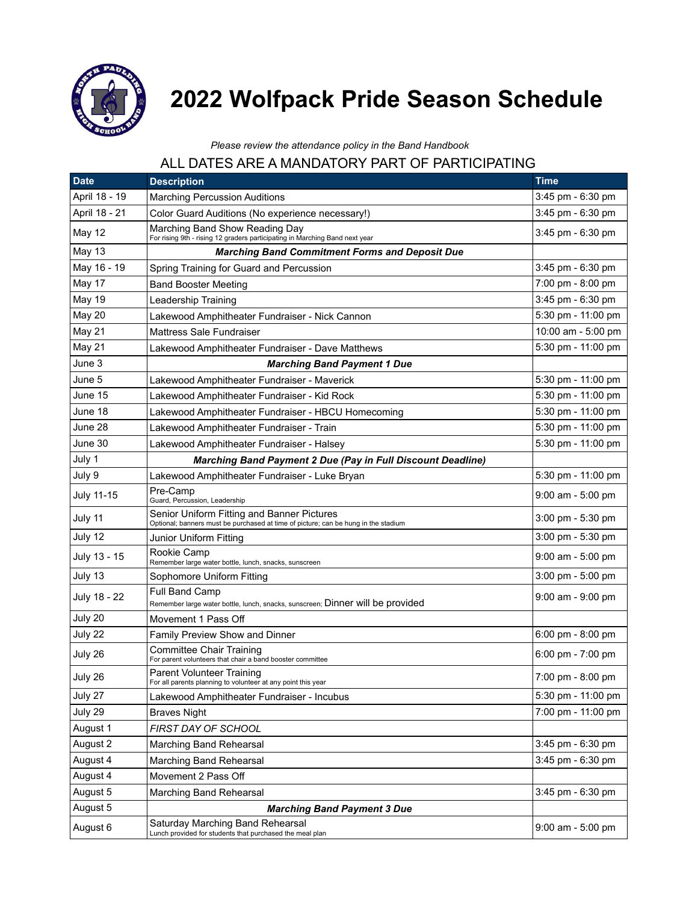

## **2022 Wolfpack Pride Season Schedule**

## *Please review the attendance policy in the Band Handbook*

## ALL DATES ARE A MANDATORY PART OF PARTICIPATING

| <b>Date</b>   | <b>Description</b>                                                                                                               | <b>Time</b>                         |
|---------------|----------------------------------------------------------------------------------------------------------------------------------|-------------------------------------|
| April 18 - 19 | <b>Marching Percussion Auditions</b>                                                                                             | 3:45 pm - 6:30 pm                   |
| April 18 - 21 | Color Guard Auditions (No experience necessary!)                                                                                 | 3:45 pm - 6:30 pm                   |
| May 12        | Marching Band Show Reading Day<br>For rising 9th - rising 12 graders participating in Marching Band next year                    | 3:45 pm - 6:30 pm                   |
| <b>May 13</b> | <b>Marching Band Commitment Forms and Deposit Due</b>                                                                            |                                     |
| May 16 - 19   | Spring Training for Guard and Percussion                                                                                         | 3:45 pm - 6:30 pm                   |
| May 17        | <b>Band Booster Meeting</b>                                                                                                      | 7:00 pm - 8:00 pm                   |
| <b>May 19</b> | Leadership Training                                                                                                              | 3:45 pm - 6:30 pm                   |
| May 20        | Lakewood Amphitheater Fundraiser - Nick Cannon                                                                                   | 5:30 pm - 11:00 pm                  |
| May 21        | Mattress Sale Fundraiser                                                                                                         | 10:00 am - 5:00 pm                  |
| May 21        | Lakewood Amphitheater Fundraiser - Dave Matthews                                                                                 | 5:30 pm - 11:00 pm                  |
| June 3        | <b>Marching Band Payment 1 Due</b>                                                                                               |                                     |
| June 5        | Lakewood Amphitheater Fundraiser - Maverick                                                                                      | 5:30 pm - 11:00 pm                  |
| June 15       | Lakewood Amphitheater Fundraiser - Kid Rock                                                                                      | 5:30 pm - 11:00 pm                  |
| June 18       | Lakewood Amphitheater Fundraiser - HBCU Homecoming                                                                               | 5:30 pm - 11:00 pm                  |
| June 28       | Lakewood Amphitheater Fundraiser - Train                                                                                         | 5:30 pm - 11:00 pm                  |
| June 30       | Lakewood Amphitheater Fundraiser - Halsey                                                                                        | 5:30 pm - 11:00 pm                  |
| July 1        | <b>Marching Band Payment 2 Due (Pay in Full Discount Deadline)</b>                                                               |                                     |
| July 9        | Lakewood Amphitheater Fundraiser - Luke Bryan                                                                                    | 5:30 pm - 11:00 pm                  |
| July 11-15    | Pre-Camp<br>Guard, Percussion, Leadership                                                                                        | 9:00 am - 5:00 pm                   |
| July 11       | Senior Uniform Fitting and Banner Pictures<br>Optional; banners must be purchased at time of picture; can be hung in the stadium | $3:00 \text{ pm} - 5:30 \text{ pm}$ |
| July 12       | Junior Uniform Fitting                                                                                                           | 3:00 pm - 5:30 pm                   |
| July 13 - 15  | Rookie Camp<br>Remember large water bottle, lunch, snacks, sunscreen                                                             | $9:00$ am - 5:00 pm                 |
| July 13       | Sophomore Uniform Fitting                                                                                                        | 3:00 pm - 5:00 pm                   |
| July 18 - 22  | <b>Full Band Camp</b><br>Remember large water bottle, lunch, snacks, sunscreen; Dinner will be provided                          | $9:00$ am - $9:00$ pm               |
| July 20       | Movement 1 Pass Off                                                                                                              |                                     |
| July 22       | Family Preview Show and Dinner                                                                                                   | $6:00 \text{ pm} - 8:00 \text{ pm}$ |
| July 26       | <b>Committee Chair Training</b><br>For parent volunteers that chair a band booster committee                                     | $6:00 \text{ pm} - 7:00 \text{ pm}$ |
| July 26       | Parent Volunteer Training<br>For all parents planning to volunteer at any point this year                                        | $7:00 \text{ pm} - 8:00 \text{ pm}$ |
| July 27       | Lakewood Amphitheater Fundraiser - Incubus                                                                                       | 5:30 pm - 11:00 pm                  |
| July 29       | <b>Braves Night</b>                                                                                                              | 7:00 pm - 11:00 pm                  |
| August 1      | FIRST DAY OF SCHOOL                                                                                                              |                                     |
| August 2      | Marching Band Rehearsal                                                                                                          | 3:45 pm - 6:30 pm                   |
| August 4      | Marching Band Rehearsal                                                                                                          | 3:45 pm - 6:30 pm                   |
| August 4      | Movement 2 Pass Off                                                                                                              |                                     |
| August 5      | Marching Band Rehearsal                                                                                                          | 3:45 pm - 6:30 pm                   |
| August 5      | <b>Marching Band Payment 3 Due</b>                                                                                               |                                     |
| August 6      | Saturday Marching Band Rehearsal<br>Lunch provided for students that purchased the meal plan                                     | 9:00 am - 5:00 pm                   |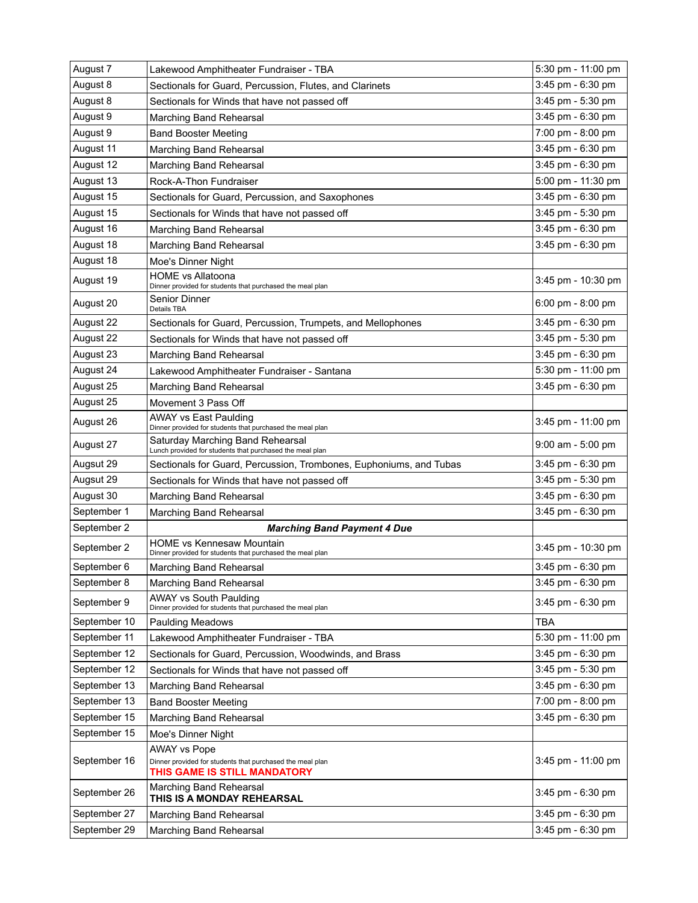| August 7     | Lakewood Amphitheater Fundraiser - TBA                                                                           | 5:30 pm - 11:00 pm  |
|--------------|------------------------------------------------------------------------------------------------------------------|---------------------|
| August 8     | Sectionals for Guard, Percussion, Flutes, and Clarinets                                                          | 3:45 pm - 6:30 pm   |
| August 8     | Sectionals for Winds that have not passed off                                                                    | 3:45 pm - 5:30 pm   |
| August 9     | Marching Band Rehearsal                                                                                          | 3:45 pm - 6:30 pm   |
| August 9     | <b>Band Booster Meeting</b>                                                                                      | 7:00 pm - 8:00 pm   |
| August 11    | Marching Band Rehearsal                                                                                          | 3:45 pm - 6:30 pm   |
| August 12    | Marching Band Rehearsal                                                                                          | 3:45 pm - 6:30 pm   |
| August 13    | Rock-A-Thon Fundraiser                                                                                           | 5:00 pm - 11:30 pm  |
| August 15    | Sectionals for Guard, Percussion, and Saxophones                                                                 | 3:45 pm - 6:30 pm   |
| August 15    | Sectionals for Winds that have not passed off                                                                    | 3:45 pm - 5:30 pm   |
| August 16    | Marching Band Rehearsal                                                                                          | 3:45 pm - 6:30 pm   |
| August 18    | Marching Band Rehearsal                                                                                          | 3:45 pm - 6:30 pm   |
| August 18    | Moe's Dinner Night                                                                                               |                     |
| August 19    | <b>HOME vs Allatoona</b><br>Dinner provided for students that purchased the meal plan                            | 3:45 pm - 10:30 pm  |
| August 20    | Senior Dinner<br>Details TBA                                                                                     | 6:00 pm - 8:00 pm   |
| August 22    | Sectionals for Guard, Percussion, Trumpets, and Mellophones                                                      | 3:45 pm - 6:30 pm   |
| August 22    | Sectionals for Winds that have not passed off                                                                    | 3:45 pm - 5:30 pm   |
| August 23    | Marching Band Rehearsal                                                                                          | 3:45 pm - 6:30 pm   |
| August 24    | Lakewood Amphitheater Fundraiser - Santana                                                                       | 5:30 pm - 11:00 pm  |
| August 25    | Marching Band Rehearsal                                                                                          | 3:45 pm - 6:30 pm   |
| August 25    | Movement 3 Pass Off                                                                                              |                     |
| August 26    | <b>AWAY vs East Paulding</b><br>Dinner provided for students that purchased the meal plan                        | 3:45 pm - 11:00 pm  |
| August 27    | Saturday Marching Band Rehearsal<br>Lunch provided for students that purchased the meal plan                     | $9:00$ am - 5:00 pm |
| Augsut 29    | Sectionals for Guard, Percussion, Trombones, Euphoniums, and Tubas                                               | 3:45 pm - 6:30 pm   |
| Augsut 29    | Sectionals for Winds that have not passed off                                                                    | 3:45 pm - 5:30 pm   |
| August 30    | Marching Band Rehearsal                                                                                          | 3:45 pm - 6:30 pm   |
| September 1  | Marching Band Rehearsal                                                                                          | 3:45 pm - 6:30 pm   |
| September 2  | <b>Marching Band Payment 4 Due</b>                                                                               |                     |
| September 2  | HOME vs Kennesaw Mountain<br>Dinner provided for students that purchased the meal plan                           | 3:45 pm - 10:30 pm  |
| September 6  | Marching Band Rehearsal                                                                                          | 3:45 pm - 6:30 pm   |
| September 8  | Marching Band Rehearsal                                                                                          | 3:45 pm - 6:30 pm   |
| September 9  | <b>AWAY vs South Paulding</b><br>Dinner provided for students that purchased the meal plan                       | 3:45 pm - 6:30 pm   |
| September 10 | <b>Paulding Meadows</b>                                                                                          | <b>TBA</b>          |
| September 11 | Lakewood Amphitheater Fundraiser - TBA                                                                           | 5:30 pm - 11:00 pm  |
| September 12 | Sectionals for Guard, Percussion, Woodwinds, and Brass                                                           | 3:45 pm - 6:30 pm   |
| September 12 | Sectionals for Winds that have not passed off                                                                    | 3:45 pm - 5:30 pm   |
| September 13 | Marching Band Rehearsal                                                                                          | 3:45 pm - 6:30 pm   |
| September 13 | <b>Band Booster Meeting</b>                                                                                      | 7:00 pm - 8:00 pm   |
| September 15 | Marching Band Rehearsal                                                                                          | 3:45 pm - 6:30 pm   |
| September 15 | Moe's Dinner Night                                                                                               |                     |
| September 16 | <b>AWAY vs Pope</b><br>Dinner provided for students that purchased the meal plan<br>THIS GAME IS STILL MANDATORY | 3:45 pm - 11:00 pm  |
| September 26 | Marching Band Rehearsal<br>THIS IS A MONDAY REHEARSAL                                                            | 3:45 pm - 6:30 pm   |
| September 27 | Marching Band Rehearsal                                                                                          | 3:45 pm - 6:30 pm   |
| September 29 | Marching Band Rehearsal                                                                                          | 3:45 pm - 6:30 pm   |